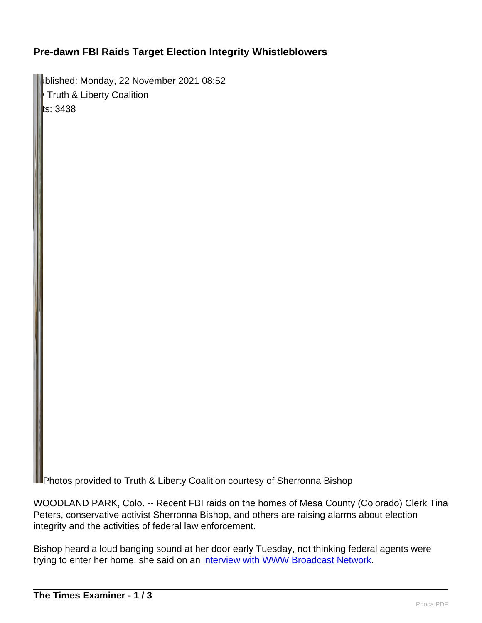## **Pre-dawn FBI Raids Target Election Integrity Whistleblowers**

Published: Monday, 22 November 2021 08:52 Truth & Liberty Coalition  $\|$ ts: 3438

Photos provided to Truth & Liberty Coalition courtesy of Sherronna Bishop

WOODLAND PARK, Colo. -- Recent FBI raids on the homes of Mesa County (Colorado) Clerk Tina Peters, conservative activist Sherronna Bishop, and others are raising alarms about election integrity and the activities of federal law enforcement.

Bishop heard a loud banging sound at her door early Tuesday, not thinking federal agents were trying to enter her home, she said on an [interview with WWW Broadcast Network.](https://www.worldviewweekend.com/news/article/americas-first-mom-raided-fbi-october-4th-doj-memorandum-she-fought-against-voter?fbclid=IwAR3izPx79WCUDn4ECq2ykLo11NY8_iAnH7_XcQcvDBIWhLqgiRbW1e-vTjE)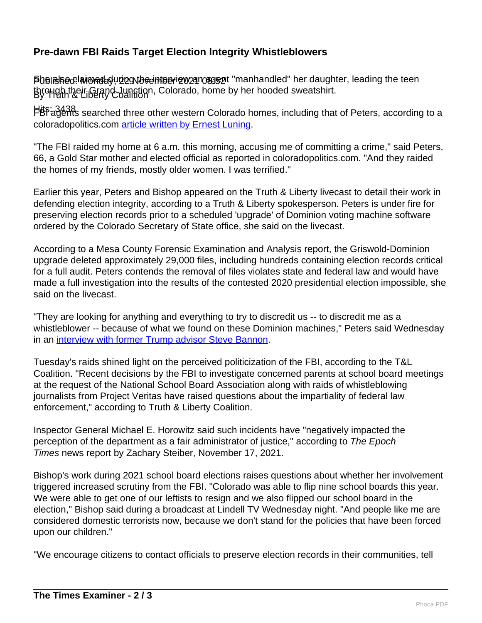## **Pre-dawn FBI Raids Target Election Integrity Whistleblowers**

Published: Minned during the einterview an agent "manhandled" her daughter, leading the teen through their Grand Junction, Colorado, home by her hooded sweatshirt.<br>By Heth & Liberty Coalition

Hits: 3438 FBI agents searched three other western Colorado homes, including that of Peters, according to a coloradopolitics.com [article written by Ernest Luning.](https://www.coloradopolitics.com/news/fbi-raids-home-of-mesa-county-clerk-tina-peters-in-election-data-breach-investigation/article_3d5d2c2e-4744-11ec-b535-ff721f3339a5.html)

"The FBI raided my home at 6 a.m. this morning, accusing me of committing a crime," said Peters, 66, a Gold Star mother and elected official as reported in coloradopolitics.com. "And they raided the homes of my friends, mostly older women. I was terrified."

Earlier this year, Peters and Bishop appeared on the Truth & Liberty livecast to detail their work in defending election integrity, according to a Truth & Liberty spokesperson. Peters is under fire for preserving election records prior to a scheduled 'upgrade' of Dominion voting machine software ordered by the Colorado Secretary of State office, she said on the livecast.

According to a Mesa County Forensic Examination and Analysis report, the Griswold-Dominion upgrade deleted approximately 29,000 files, including hundreds containing election records critical for a full audit. Peters contends the removal of files violates state and federal law and would have made a full investigation into the results of the contested 2020 presidential election impossible, she said on the livecast.

"They are looking for anything and everything to try to discredit us -- to discredit me as a whistleblower -- because of what we found on these Dominion machines," Peters said Wednesday in an [interview with former Trump advisor Steve Bannon.](https://rumble.com/vpen4h-tina-peters-hopefully-she-has-copies-of-everything.html)

Tuesday's raids shined light on the perceived politicization of the FBI, according to the T&L Coalition. "Recent decisions by the FBI to investigate concerned parents at school board meetings at the request of the National School Board Association along with raids of whistleblowing journalists from Project Veritas have raised questions about the impartiality of federal law enforcement," according to Truth & Liberty Coalition.

Inspector General Michael E. Horowitz said such incidents have "negatively impacted the perception of the department as a fair administrator of justice," according to The Epoch Times news report by Zachary Steiber, November 17, 2021.

Bishop's work during 2021 school board elections raises questions about whether her involvement triggered increased scrutiny from the FBI. "Colorado was able to flip nine school boards this year. We were able to get one of our leftists to resign and we also flipped our school board in the election," Bishop said during a broadcast at Lindell TV Wednesday night. "And people like me are considered domestic terrorists now, because we don't stand for the policies that have been forced upon our children."

"We encourage citizens to contact officials to preserve election records in their communities, tell